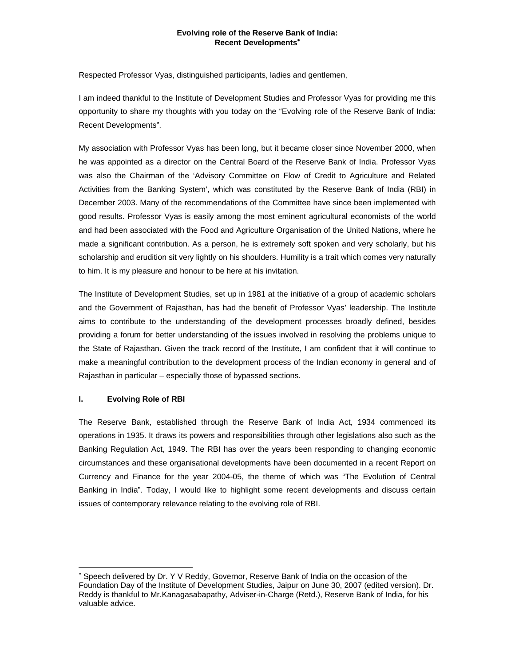## **Evolving role of the Reserve Bank of India: Recent Developments**<sup>∗</sup>

Respected Professor Vyas, distinguished participants, ladies and gentlemen,

I am indeed thankful to the Institute of Development Studies and Professor Vyas for providing me this opportunity to share my thoughts with you today on the "Evolving role of the Reserve Bank of India: Recent Developments".

My association with Professor Vyas has been long, but it became closer since November 2000, when he was appointed as a director on the Central Board of the Reserve Bank of India. Professor Vyas was also the Chairman of the 'Advisory Committee on Flow of Credit to Agriculture and Related Activities from the Banking System', which was constituted by the Reserve Bank of India (RBI) in December 2003. Many of the recommendations of the Committee have since been implemented with good results. Professor Vyas is easily among the most eminent agricultural economists of the world and had been associated with the Food and Agriculture Organisation of the United Nations, where he made a significant contribution. As a person, he is extremely soft spoken and very scholarly, but his scholarship and erudition sit very lightly on his shoulders. Humility is a trait which comes very naturally to him. It is my pleasure and honour to be here at his invitation.

The Institute of Development Studies, set up in 1981 at the initiative of a group of academic scholars and the Government of Rajasthan, has had the benefit of Professor Vyas' leadership. The Institute aims to contribute to the understanding of the development processes broadly defined, besides providing a forum for better understanding of the issues involved in resolving the problems unique to the State of Rajasthan. Given the track record of the Institute, I am confident that it will continue to make a meaningful contribution to the development process of the Indian economy in general and of Rajasthan in particular – especially those of bypassed sections.

# **I. Evolving Role of RBI**

l

The Reserve Bank, established through the Reserve Bank of India Act, 1934 commenced its operations in 1935. It draws its powers and responsibilities through other legislations also such as the Banking Regulation Act, 1949. The RBI has over the years been responding to changing economic circumstances and these organisational developments have been documented in a recent Report on Currency and Finance for the year 2004-05, the theme of which was "The Evolution of Central Banking in India". Today, I would like to highlight some recent developments and discuss certain issues of contemporary relevance relating to the evolving role of RBI.

<sup>∗</sup> Speech delivered by Dr. Y V Reddy, Governor, Reserve Bank of India on the occasion of the Foundation Day of the Institute of Development Studies, Jaipur on June 30, 2007 (edited version). Dr. Reddy is thankful to Mr.Kanagasabapathy, Adviser-in-Charge (Retd.), Reserve Bank of India, for his valuable advice.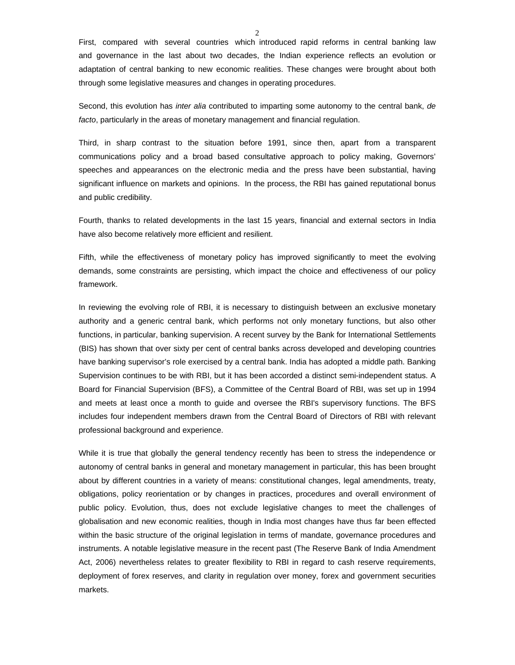First, compared with several countries which introduced rapid reforms in central banking law and governance in the last about two decades, the Indian experience reflects an evolution or adaptation of central banking to new economic realities. These changes were brought about both through some legislative measures and changes in operating procedures.

Second, this evolution has *inter alia* contributed to imparting some autonomy to the central bank, *de facto*, particularly in the areas of monetary management and financial regulation.

Third, in sharp contrast to the situation before 1991, since then, apart from a transparent communications policy and a broad based consultative approach to policy making, Governors' speeches and appearances on the electronic media and the press have been substantial, having significant influence on markets and opinions. In the process, the RBI has gained reputational bonus and public credibility.

Fourth, thanks to related developments in the last 15 years, financial and external sectors in India have also become relatively more efficient and resilient.

Fifth, while the effectiveness of monetary policy has improved significantly to meet the evolving demands, some constraints are persisting, which impact the choice and effectiveness of our policy framework.

In reviewing the evolving role of RBI, it is necessary to distinguish between an exclusive monetary authority and a generic central bank, which performs not only monetary functions, but also other functions, in particular, banking supervision. A recent survey by the Bank for International Settlements (BIS) has shown that over sixty per cent of central banks across developed and developing countries have banking supervisor's role exercised by a central bank. India has adopted a middle path. Banking Supervision continues to be with RBI, but it has been accorded a distinct semi-independent status. A Board for Financial Supervision (BFS), a Committee of the Central Board of RBI, was set up in 1994 and meets at least once a month to guide and oversee the RBI's supervisory functions. The BFS includes four independent members drawn from the Central Board of Directors of RBI with relevant professional background and experience.

While it is true that globally the general tendency recently has been to stress the independence or autonomy of central banks in general and monetary management in particular, this has been brought about by different countries in a variety of means: constitutional changes, legal amendments, treaty, obligations, policy reorientation or by changes in practices, procedures and overall environment of public policy. Evolution, thus, does not exclude legislative changes to meet the challenges of globalisation and new economic realities, though in India most changes have thus far been effected within the basic structure of the original legislation in terms of mandate, governance procedures and instruments. A notable legislative measure in the recent past (The Reserve Bank of India Amendment Act, 2006) nevertheless relates to greater flexibility to RBI in regard to cash reserve requirements, deployment of forex reserves, and clarity in regulation over money, forex and government securities markets.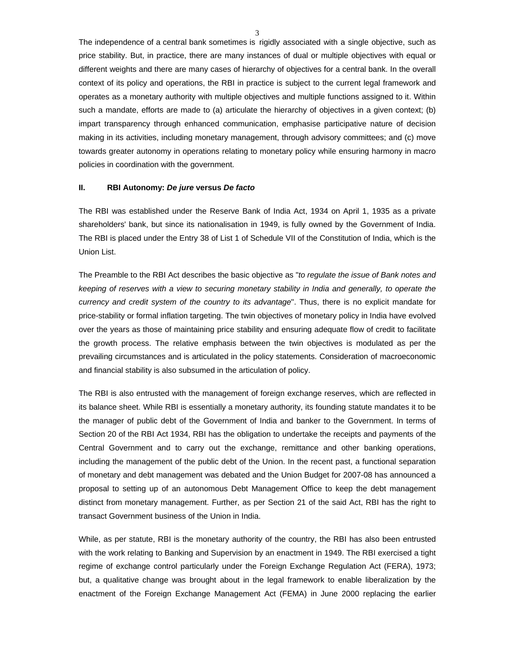The independence of a central bank sometimes is rigidly associated with a single objective, such as price stability. But, in practice, there are many instances of dual or multiple objectives with equal or different weights and there are many cases of hierarchy of objectives for a central bank. In the overall context of its policy and operations, the RBI in practice is subject to the current legal framework and operates as a monetary authority with multiple objectives and multiple functions assigned to it. Within such a mandate, efforts are made to (a) articulate the hierarchy of objectives in a given context; (b) impart transparency through enhanced communication, emphasise participative nature of decision making in its activities, including monetary management, through advisory committees; and (c) move towards greater autonomy in operations relating to monetary policy while ensuring harmony in macro policies in coordination with the government.

#### **II. RBI Autonomy:** *De jure* **versus** *De facto*

The RBI was established under the Reserve Bank of India Act, 1934 on April 1, 1935 as a private shareholders' bank, but since its nationalisation in 1949, is fully owned by the Government of India. The RBI is placed under the Entry 38 of List 1 of Schedule VII of the Constitution of India, which is the Union List.

The Preamble to the RBI Act describes the basic objective as "*to regulate the issue of Bank notes and keeping of reserves with a view to securing monetary stability in India and generally, to operate the currency and credit system of the country to its advantage*". Thus, there is no explicit mandate for price-stability or formal inflation targeting. The twin objectives of monetary policy in India have evolved over the years as those of maintaining price stability and ensuring adequate flow of credit to facilitate the growth process. The relative emphasis between the twin objectives is modulated as per the prevailing circumstances and is articulated in the policy statements. Consideration of macroeconomic and financial stability is also subsumed in the articulation of policy.

The RBI is also entrusted with the management of foreign exchange reserves, which are reflected in its balance sheet. While RBI is essentially a monetary authority, its founding statute mandates it to be the manager of public debt of the Government of India and banker to the Government. In terms of Section 20 of the RBI Act 1934, RBI has the obligation to undertake the receipts and payments of the Central Government and to carry out the exchange, remittance and other banking operations, including the management of the public debt of the Union. In the recent past, a functional separation of monetary and debt management was debated and the Union Budget for 2007-08 has announced a proposal to setting up of an autonomous Debt Management Office to keep the debt management distinct from monetary management. Further, as per Section 21 of the said Act, RBI has the right to transact Government business of the Union in India.

While, as per statute, RBI is the monetary authority of the country, the RBI has also been entrusted with the work relating to Banking and Supervision by an enactment in 1949. The RBI exercised a tight regime of exchange control particularly under the Foreign Exchange Regulation Act (FERA), 1973; but, a qualitative change was brought about in the legal framework to enable liberalization by the enactment of the Foreign Exchange Management Act (FEMA) in June 2000 replacing the earlier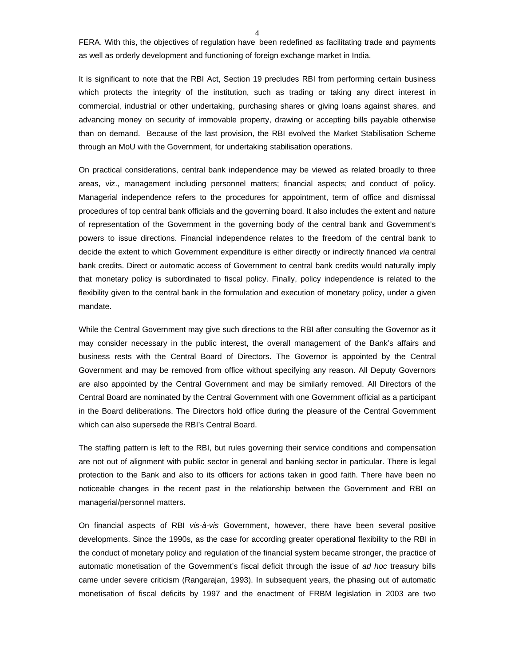4

FERA. With this, the objectives of regulation have been redefined as facilitating trade and payments as well as orderly development and functioning of foreign exchange market in India.

It is significant to note that the RBI Act, Section 19 precludes RBI from performing certain business which protects the integrity of the institution, such as trading or taking any direct interest in commercial, industrial or other undertaking, purchasing shares or giving loans against shares, and advancing money on security of immovable property, drawing or accepting bills payable otherwise than on demand. Because of the last provision, the RBI evolved the Market Stabilisation Scheme through an MoU with the Government, for undertaking stabilisation operations.

On practical considerations, central bank independence may be viewed as related broadly to three areas, viz., management including personnel matters; financial aspects; and conduct of policy. Managerial independence refers to the procedures for appointment, term of office and dismissal procedures of top central bank officials and the governing board. It also includes the extent and nature of representation of the Government in the governing body of the central bank and Government's powers to issue directions. Financial independence relates to the freedom of the central bank to decide the extent to which Government expenditure is either directly or indirectly financed *via* central bank credits. Direct or automatic access of Government to central bank credits would naturally imply that monetary policy is subordinated to fiscal policy. Finally, policy independence is related to the flexibility given to the central bank in the formulation and execution of monetary policy, under a given mandate.

While the Central Government may give such directions to the RBI after consulting the Governor as it may consider necessary in the public interest, the overall management of the Bank's affairs and business rests with the Central Board of Directors. The Governor is appointed by the Central Government and may be removed from office without specifying any reason. All Deputy Governors are also appointed by the Central Government and may be similarly removed. All Directors of the Central Board are nominated by the Central Government with one Government official as a participant in the Board deliberations. The Directors hold office during the pleasure of the Central Government which can also supersede the RBI's Central Board.

The staffing pattern is left to the RBI, but rules governing their service conditions and compensation are not out of alignment with public sector in general and banking sector in particular. There is legal protection to the Bank and also to its officers for actions taken in good faith. There have been no noticeable changes in the recent past in the relationship between the Government and RBI on managerial/personnel matters.

On financial aspects of RBI *vis-à-vis* Government, however, there have been several positive developments. Since the 1990s, as the case for according greater operational flexibility to the RBI in the conduct of monetary policy and regulation of the financial system became stronger, the practice of automatic monetisation of the Government's fiscal deficit through the issue of *ad hoc* treasury bills came under severe criticism (Rangarajan, 1993). In subsequent years, the phasing out of automatic monetisation of fiscal deficits by 1997 and the enactment of FRBM legislation in 2003 are two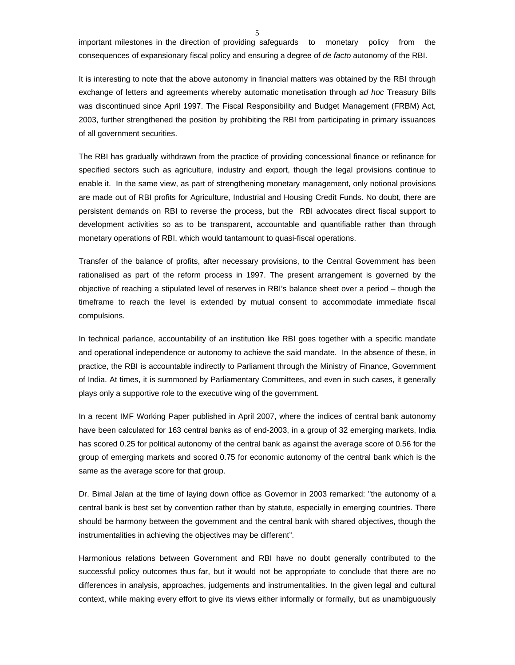5

important milestones in the direction of providing safeguards to monetary policy from the consequences of expansionary fiscal policy and ensuring a degree of *de facto* autonomy of the RBI.

It is interesting to note that the above autonomy in financial matters was obtained by the RBI through exchange of letters and agreements whereby automatic monetisation through *ad hoc* Treasury Bills was discontinued since April 1997. The Fiscal Responsibility and Budget Management (FRBM) Act, 2003, further strengthened the position by prohibiting the RBI from participating in primary issuances of all government securities.

The RBI has gradually withdrawn from the practice of providing concessional finance or refinance for specified sectors such as agriculture, industry and export, though the legal provisions continue to enable it. In the same view, as part of strengthening monetary management, only notional provisions are made out of RBI profits for Agriculture, Industrial and Housing Credit Funds. No doubt, there are persistent demands on RBI to reverse the process, but the RBI advocates direct fiscal support to development activities so as to be transparent, accountable and quantifiable rather than through monetary operations of RBI, which would tantamount to quasi-fiscal operations.

Transfer of the balance of profits, after necessary provisions, to the Central Government has been rationalised as part of the reform process in 1997. The present arrangement is governed by the objective of reaching a stipulated level of reserves in RBI's balance sheet over a period – though the timeframe to reach the level is extended by mutual consent to accommodate immediate fiscal compulsions.

In technical parlance, accountability of an institution like RBI goes together with a specific mandate and operational independence or autonomy to achieve the said mandate. In the absence of these, in practice, the RBI is accountable indirectly to Parliament through the Ministry of Finance, Government of India. At times, it is summoned by Parliamentary Committees, and even in such cases, it generally plays only a supportive role to the executive wing of the government.

In a recent IMF Working Paper published in April 2007, where the indices of central bank autonomy have been calculated for 163 central banks as of end-2003, in a group of 32 emerging markets, India has scored 0.25 for political autonomy of the central bank as against the average score of 0.56 for the group of emerging markets and scored 0.75 for economic autonomy of the central bank which is the same as the average score for that group.

Dr. Bimal Jalan at the time of laying down office as Governor in 2003 remarked: "the autonomy of a central bank is best set by convention rather than by statute, especially in emerging countries. There should be harmony between the government and the central bank with shared objectives, though the instrumentalities in achieving the objectives may be different".

Harmonious relations between Government and RBI have no doubt generally contributed to the successful policy outcomes thus far, but it would not be appropriate to conclude that there are no differences in analysis, approaches, judgements and instrumentalities. In the given legal and cultural context, while making every effort to give its views either informally or formally, but as unambiguously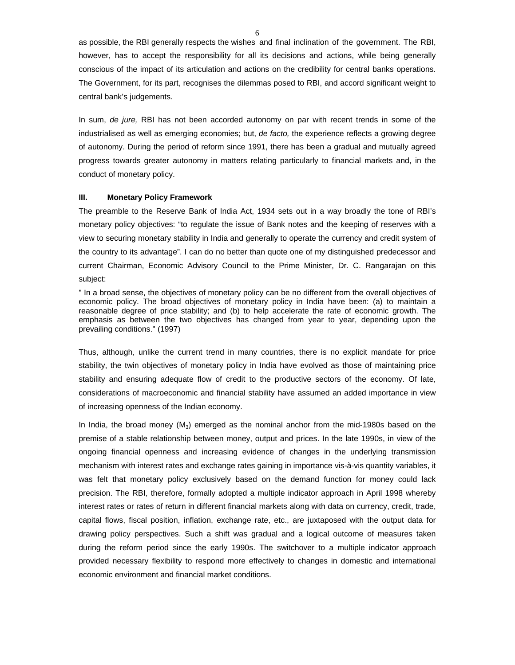as possible, the RBI generally respects the wishes and final inclination of the government. The RBI, however, has to accept the responsibility for all its decisions and actions, while being generally conscious of the impact of its articulation and actions on the credibility for central banks operations. The Government, for its part, recognises the dilemmas posed to RBI, and accord significant weight to central bank's judgements.

In sum, *de jure,* RBI has not been accorded autonomy on par with recent trends in some of the industrialised as well as emerging economies; but, *de facto,* the experience reflects a growing degree of autonomy. During the period of reform since 1991, there has been a gradual and mutually agreed progress towards greater autonomy in matters relating particularly to financial markets and, in the conduct of monetary policy.

#### **III. Monetary Policy Framework**

The preamble to the Reserve Bank of India Act, 1934 sets out in a way broadly the tone of RBI's monetary policy objectives: "to regulate the issue of Bank notes and the keeping of reserves with a view to securing monetary stability in India and generally to operate the currency and credit system of the country to its advantage". I can do no better than quote one of my distinguished predecessor and current Chairman, Economic Advisory Council to the Prime Minister, Dr. C. Rangarajan on this subject:

" In a broad sense, the objectives of monetary policy can be no different from the overall objectives of economic policy. The broad objectives of monetary policy in India have been: (a) to maintain a reasonable degree of price stability; and (b) to help accelerate the rate of economic growth. The emphasis as between the two objectives has changed from year to year, depending upon the prevailing conditions." (1997)

Thus, although, unlike the current trend in many countries, there is no explicit mandate for price stability, the twin objectives of monetary policy in India have evolved as those of maintaining price stability and ensuring adequate flow of credit to the productive sectors of the economy. Of late, considerations of macroeconomic and financial stability have assumed an added importance in view of increasing openness of the Indian economy.

In India, the broad money  $(M_3)$  emerged as the nominal anchor from the mid-1980s based on the premise of a stable relationship between money, output and prices. In the late 1990s, in view of the ongoing financial openness and increasing evidence of changes in the underlying transmission mechanism with interest rates and exchange rates gaining in importance vis-à-vis quantity variables, it was felt that monetary policy exclusively based on the demand function for money could lack precision. The RBI, therefore, formally adopted a multiple indicator approach in April 1998 whereby interest rates or rates of return in different financial markets along with data on currency, credit, trade, capital flows, fiscal position, inflation, exchange rate, etc., are juxtaposed with the output data for drawing policy perspectives. Such a shift was gradual and a logical outcome of measures taken during the reform period since the early 1990s. The switchover to a multiple indicator approach provided necessary flexibility to respond more effectively to changes in domestic and international economic environment and financial market conditions.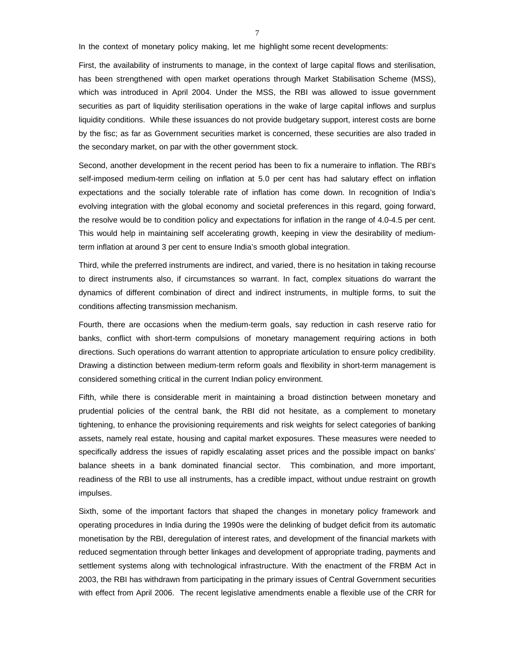In the context of monetary policy making, let me highlight some recent developments:

First, the availability of instruments to manage, in the context of large capital flows and sterilisation, has been strengthened with open market operations through Market Stabilisation Scheme (MSS), which was introduced in April 2004. Under the MSS, the RBI was allowed to issue government securities as part of liquidity sterilisation operations in the wake of large capital inflows and surplus liquidity conditions. While these issuances do not provide budgetary support, interest costs are borne by the fisc; as far as Government securities market is concerned, these securities are also traded in the secondary market, on par with the other government stock.

Second, another development in the recent period has been to fix a numeraire to inflation. The RBI's self-imposed medium-term ceiling on inflation at 5.0 per cent has had salutary effect on inflation expectations and the socially tolerable rate of inflation has come down. In recognition of India's evolving integration with the global economy and societal preferences in this regard, going forward, the resolve would be to condition policy and expectations for inflation in the range of 4.0-4.5 per cent. This would help in maintaining self accelerating growth, keeping in view the desirability of mediumterm inflation at around 3 per cent to ensure India's smooth global integration.

Third, while the preferred instruments are indirect, and varied, there is no hesitation in taking recourse to direct instruments also, if circumstances so warrant. In fact, complex situations do warrant the dynamics of different combination of direct and indirect instruments, in multiple forms, to suit the conditions affecting transmission mechanism.

Fourth, there are occasions when the medium-term goals, say reduction in cash reserve ratio for banks, conflict with short-term compulsions of monetary management requiring actions in both directions. Such operations do warrant attention to appropriate articulation to ensure policy credibility. Drawing a distinction between medium-term reform goals and flexibility in short-term management is considered something critical in the current Indian policy environment.

Fifth, while there is considerable merit in maintaining a broad distinction between monetary and prudential policies of the central bank, the RBI did not hesitate, as a complement to monetary tightening, to enhance the provisioning requirements and risk weights for select categories of banking assets, namely real estate, housing and capital market exposures. These measures were needed to specifically address the issues of rapidly escalating asset prices and the possible impact on banks' balance sheets in a bank dominated financial sector. This combination, and more important, readiness of the RBI to use all instruments, has a credible impact, without undue restraint on growth impulses.

Sixth, some of the important factors that shaped the changes in monetary policy framework and operating procedures in India during the 1990s were the delinking of budget deficit from its automatic monetisation by the RBI, deregulation of interest rates, and development of the financial markets with reduced segmentation through better linkages and development of appropriate trading, payments and settlement systems along with technological infrastructure. With the enactment of the FRBM Act in 2003, the RBI has withdrawn from participating in the primary issues of Central Government securities with effect from April 2006. The recent legislative amendments enable a flexible use of the CRR for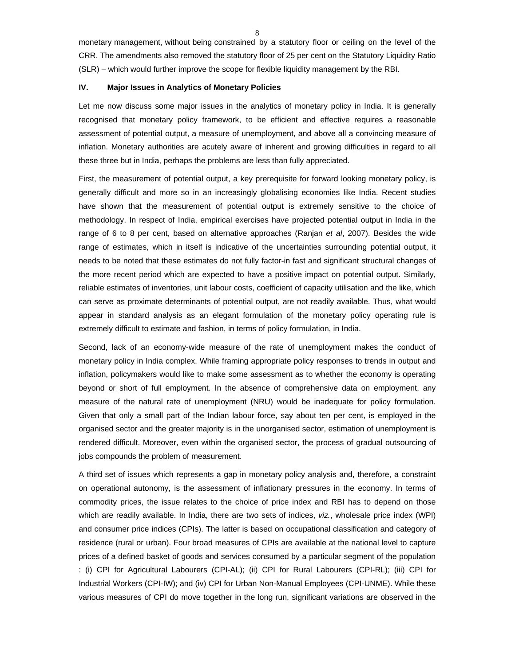monetary management, without being constrained by a statutory floor or ceiling on the level of the CRR. The amendments also removed the statutory floor of 25 per cent on the Statutory Liquidity Ratio (SLR) – which would further improve the scope for flexible liquidity management by the RBI.

# **IV. Major Issues in Analytics of Monetary Policies**

Let me now discuss some major issues in the analytics of monetary policy in India. It is generally recognised that monetary policy framework, to be efficient and effective requires a reasonable assessment of potential output, a measure of unemployment, and above all a convincing measure of inflation. Monetary authorities are acutely aware of inherent and growing difficulties in regard to all these three but in India, perhaps the problems are less than fully appreciated.

First, the measurement of potential output, a key prerequisite for forward looking monetary policy, is generally difficult and more so in an increasingly globalising economies like India. Recent studies have shown that the measurement of potential output is extremely sensitive to the choice of methodology. In respect of India, empirical exercises have projected potential output in India in the range of 6 to 8 per cent, based on alternative approaches (Ranjan *et al*, 2007). Besides the wide range of estimates, which in itself is indicative of the uncertainties surrounding potential output, it needs to be noted that these estimates do not fully factor-in fast and significant structural changes of the more recent period which are expected to have a positive impact on potential output. Similarly, reliable estimates of inventories, unit labour costs, coefficient of capacity utilisation and the like, which can serve as proximate determinants of potential output, are not readily available. Thus, what would appear in standard analysis as an elegant formulation of the monetary policy operating rule is extremely difficult to estimate and fashion, in terms of policy formulation, in India.

Second, lack of an economy-wide measure of the rate of unemployment makes the conduct of monetary policy in India complex. While framing appropriate policy responses to trends in output and inflation, policymakers would like to make some assessment as to whether the economy is operating beyond or short of full employment. In the absence of comprehensive data on employment, any measure of the natural rate of unemployment (NRU) would be inadequate for policy formulation. Given that only a small part of the Indian labour force, say about ten per cent, is employed in the organised sector and the greater majority is in the unorganised sector, estimation of unemployment is rendered difficult. Moreover, even within the organised sector, the process of gradual outsourcing of jobs compounds the problem of measurement.

A third set of issues which represents a gap in monetary policy analysis and, therefore, a constraint on operational autonomy, is the assessment of inflationary pressures in the economy. In terms of commodity prices, the issue relates to the choice of price index and RBI has to depend on those which are readily available. In India, there are two sets of indices, *viz.*, wholesale price index (WPI) and consumer price indices (CPIs). The latter is based on occupational classification and category of residence (rural or urban). Four broad measures of CPIs are available at the national level to capture prices of a defined basket of goods and services consumed by a particular segment of the population : (i) CPI for Agricultural Labourers (CPI-AL); (ii) CPI for Rural Labourers (CPI-RL); (iii) CPI for Industrial Workers (CPI-IW); and (iv) CPI for Urban Non-Manual Employees (CPI-UNME). While these various measures of CPI do move together in the long run, significant variations are observed in the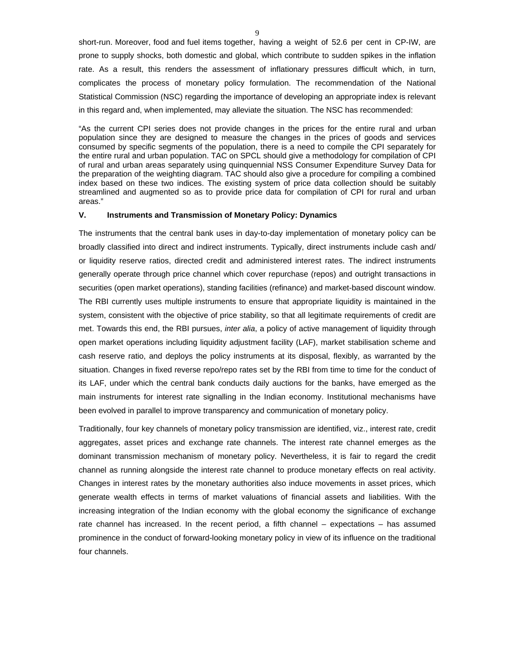short-run. Moreover, food and fuel items together, having a weight of 52.6 per cent in CP-IW, are prone to supply shocks, both domestic and global, which contribute to sudden spikes in the inflation rate. As a result, this renders the assessment of inflationary pressures difficult which, in turn, complicates the process of monetary policy formulation. The recommendation of the National Statistical Commission (NSC) regarding the importance of developing an appropriate index is relevant in this regard and, when implemented, may alleviate the situation. The NSC has recommended:

"As the current CPI series does not provide changes in the prices for the entire rural and urban population since they are designed to measure the changes in the prices of goods and services consumed by specific segments of the population, there is a need to compile the CPI separately for the entire rural and urban population. TAC on SPCL should give a methodology for compilation of CPI of rural and urban areas separately using quinquennial NSS Consumer Expenditure Survey Data for the preparation of the weighting diagram. TAC should also give a procedure for compiling a combined index based on these two indices. The existing system of price data collection should be suitably streamlined and augmented so as to provide price data for compilation of CPI for rural and urban areas."

### **V. Instruments and Transmission of Monetary Policy: Dynamics**

The instruments that the central bank uses in day-to-day implementation of monetary policy can be broadly classified into direct and indirect instruments. Typically, direct instruments include cash and/ or liquidity reserve ratios, directed credit and administered interest rates. The indirect instruments generally operate through price channel which cover repurchase (repos) and outright transactions in securities (open market operations), standing facilities (refinance) and market-based discount window. The RBI currently uses multiple instruments to ensure that appropriate liquidity is maintained in the system, consistent with the objective of price stability, so that all legitimate requirements of credit are met. Towards this end, the RBI pursues, *inter alia*, a policy of active management of liquidity through open market operations including liquidity adjustment facility (LAF), market stabilisation scheme and cash reserve ratio, and deploys the policy instruments at its disposal, flexibly, as warranted by the situation. Changes in fixed reverse repo/repo rates set by the RBI from time to time for the conduct of its LAF, under which the central bank conducts daily auctions for the banks, have emerged as the main instruments for interest rate signalling in the Indian economy. Institutional mechanisms have been evolved in parallel to improve transparency and communication of monetary policy.

Traditionally, four key channels of monetary policy transmission are identified, viz., interest rate, credit aggregates, asset prices and exchange rate channels. The interest rate channel emerges as the dominant transmission mechanism of monetary policy. Nevertheless, it is fair to regard the credit channel as running alongside the interest rate channel to produce monetary effects on real activity. Changes in interest rates by the monetary authorities also induce movements in asset prices, which generate wealth effects in terms of market valuations of financial assets and liabilities. With the increasing integration of the Indian economy with the global economy the significance of exchange rate channel has increased. In the recent period, a fifth channel – expectations – has assumed prominence in the conduct of forward-looking monetary policy in view of its influence on the traditional four channels.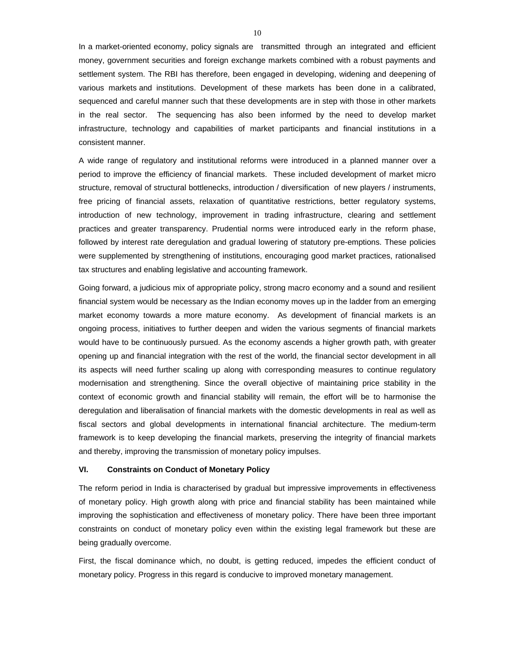In a market-oriented economy, policy signals are transmitted through an integrated and efficient money, government securities and foreign exchange markets combined with a robust payments and settlement system. The RBI has therefore, been engaged in developing, widening and deepening of various markets and institutions. Development of these markets has been done in a calibrated, sequenced and careful manner such that these developments are in step with those in other markets in the real sector. The sequencing has also been informed by the need to develop market infrastructure, technology and capabilities of market participants and financial institutions in a consistent manner.

A wide range of regulatory and institutional reforms were introduced in a planned manner over a period to improve the efficiency of financial markets. These included development of market micro structure, removal of structural bottlenecks, introduction / diversification of new players / instruments, free pricing of financial assets, relaxation of quantitative restrictions, better regulatory systems, introduction of new technology, improvement in trading infrastructure, clearing and settlement practices and greater transparency. Prudential norms were introduced early in the reform phase, followed by interest rate deregulation and gradual lowering of statutory pre-emptions. These policies were supplemented by strengthening of institutions, encouraging good market practices, rationalised tax structures and enabling legislative and accounting framework.

Going forward, a judicious mix of appropriate policy, strong macro economy and a sound and resilient financial system would be necessary as the Indian economy moves up in the ladder from an emerging market economy towards a more mature economy. As development of financial markets is an ongoing process, initiatives to further deepen and widen the various segments of financial markets would have to be continuously pursued. As the economy ascends a higher growth path, with greater opening up and financial integration with the rest of the world, the financial sector development in all its aspects will need further scaling up along with corresponding measures to continue regulatory modernisation and strengthening. Since the overall objective of maintaining price stability in the context of economic growth and financial stability will remain, the effort will be to harmonise the deregulation and liberalisation of financial markets with the domestic developments in real as well as fiscal sectors and global developments in international financial architecture. The medium-term framework is to keep developing the financial markets, preserving the integrity of financial markets and thereby, improving the transmission of monetary policy impulses.

## **VI. Constraints on Conduct of Monetary Policy**

The reform period in India is characterised by gradual but impressive improvements in effectiveness of monetary policy. High growth along with price and financial stability has been maintained while improving the sophistication and effectiveness of monetary policy. There have been three important constraints on conduct of monetary policy even within the existing legal framework but these are being gradually overcome.

First, the fiscal dominance which, no doubt, is getting reduced, impedes the efficient conduct of monetary policy. Progress in this regard is conducive to improved monetary management.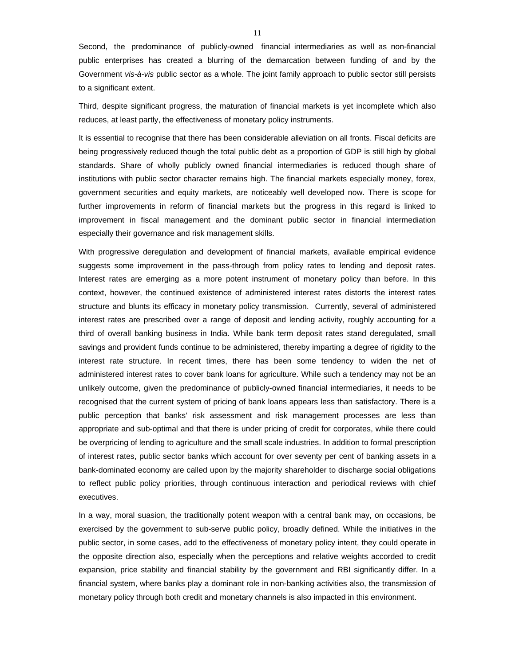Second, the predominance of publicly-owned financial intermediaries as well as non-financial public enterprises has created a blurring of the demarcation between funding of and by the Government *vis-à-vis* public sector as a whole. The joint family approach to public sector still persists to a significant extent.

Third, despite significant progress, the maturation of financial markets is yet incomplete which also reduces, at least partly, the effectiveness of monetary policy instruments.

It is essential to recognise that there has been considerable alleviation on all fronts. Fiscal deficits are being progressively reduced though the total public debt as a proportion of GDP is still high by global standards. Share of wholly publicly owned financial intermediaries is reduced though share of institutions with public sector character remains high. The financial markets especially money, forex, government securities and equity markets, are noticeably well developed now. There is scope for further improvements in reform of financial markets but the progress in this regard is linked to improvement in fiscal management and the dominant public sector in financial intermediation especially their governance and risk management skills.

With progressive deregulation and development of financial markets, available empirical evidence suggests some improvement in the pass-through from policy rates to lending and deposit rates. Interest rates are emerging as a more potent instrument of monetary policy than before. In this context, however, the continued existence of administered interest rates distorts the interest rates structure and blunts its efficacy in monetary policy transmission. Currently, several of administered interest rates are prescribed over a range of deposit and lending activity, roughly accounting for a third of overall banking business in India. While bank term deposit rates stand deregulated, small savings and provident funds continue to be administered, thereby imparting a degree of rigidity to the interest rate structure. In recent times, there has been some tendency to widen the net of administered interest rates to cover bank loans for agriculture. While such a tendency may not be an unlikely outcome, given the predominance of publicly-owned financial intermediaries, it needs to be recognised that the current system of pricing of bank loans appears less than satisfactory. There is a public perception that banks' risk assessment and risk management processes are less than appropriate and sub-optimal and that there is under pricing of credit for corporates, while there could be overpricing of lending to agriculture and the small scale industries. In addition to formal prescription of interest rates, public sector banks which account for over seventy per cent of banking assets in a bank-dominated economy are called upon by the majority shareholder to discharge social obligations to reflect public policy priorities, through continuous interaction and periodical reviews with chief executives.

In a way, moral suasion, the traditionally potent weapon with a central bank may, on occasions, be exercised by the government to sub-serve public policy, broadly defined. While the initiatives in the public sector, in some cases, add to the effectiveness of monetary policy intent, they could operate in the opposite direction also, especially when the perceptions and relative weights accorded to credit expansion, price stability and financial stability by the government and RBI significantly differ. In a financial system, where banks play a dominant role in non-banking activities also, the transmission of monetary policy through both credit and monetary channels is also impacted in this environment.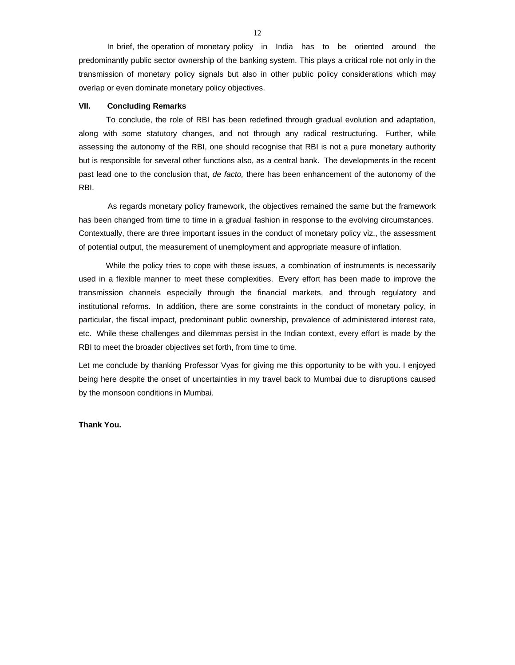In brief, the operation of monetary policy in India has to be oriented around the predominantly public sector ownership of the banking system. This plays a critical role not only in the transmission of monetary policy signals but also in other public policy considerations which may overlap or even dominate monetary policy objectives.

### **VII. Concluding Remarks**

 To conclude, the role of RBI has been redefined through gradual evolution and adaptation, along with some statutory changes, and not through any radical restructuring. Further, while assessing the autonomy of the RBI, one should recognise that RBI is not a pure monetary authority but is responsible for several other functions also, as a central bank. The developments in the recent past lead one to the conclusion that, *de facto,* there has been enhancement of the autonomy of the RBI.

 As regards monetary policy framework, the objectives remained the same but the framework has been changed from time to time in a gradual fashion in response to the evolving circumstances. Contextually, there are three important issues in the conduct of monetary policy viz., the assessment of potential output, the measurement of unemployment and appropriate measure of inflation.

 While the policy tries to cope with these issues, a combination of instruments is necessarily used in a flexible manner to meet these complexities. Every effort has been made to improve the transmission channels especially through the financial markets, and through regulatory and institutional reforms. In addition, there are some constraints in the conduct of monetary policy, in particular, the fiscal impact, predominant public ownership, prevalence of administered interest rate, etc. While these challenges and dilemmas persist in the Indian context, every effort is made by the RBI to meet the broader objectives set forth, from time to time.

Let me conclude by thanking Professor Vyas for giving me this opportunity to be with you. I enjoyed being here despite the onset of uncertainties in my travel back to Mumbai due to disruptions caused by the monsoon conditions in Mumbai.

### **Thank You.**